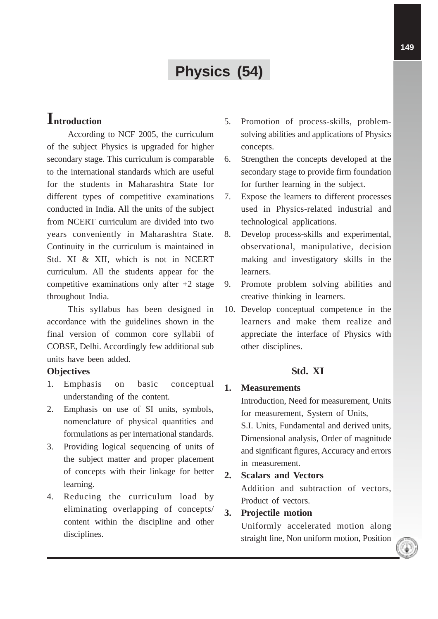# **Physics (54)**

## **Introduction**

According to NCF 2005, the curriculum of the subject Physics is upgraded for higher secondary stage. This curriculum is comparable to the international standards which are useful for the students in Maharashtra State for different types of competitive examinations conducted in India. All the units of the subject from NCERT curriculum are divided into two years conveniently in Maharashtra State. Continuity in the curriculum is maintained in Std. XI & XII, which is not in NCERT curriculum. All the students appear for the competitive examinations only after  $+2$  stage throughout India.

This syllabus has been designed in accordance with the guidelines shown in the final version of common core syllabii of COBSE, Delhi. Accordingly few additional sub units have been added.

#### **Objectives**

- 1. Emphasis on basic conceptual understanding of the content.
- 2. Emphasis on use of SI units, symbols, nomenclature of physical quantities and formulations as per international standards.
- 3. Providing logical sequencing of units of the subject matter and proper placement of concepts with their linkage for better learning.
- 4. Reducing the curriculum load by eliminating overlapping of concepts/ content within the discipline and other disciplines.
- 5. Promotion of process-skills, problemsolving abilities and applications of Physics concepts.
- 6. Strengthen the concepts developed at the secondary stage to provide firm foundation for further learning in the subject.
- 7. Expose the learners to different processes used in Physics-related industrial and technological applications.
- 8. Develop process-skills and experimental, observational, manipulative, decision making and investigatory skills in the learners.
- 9. Promote problem solving abilities and creative thinking in learners.
- 10. Develop conceptual competence in the learners and make them realize and appreciate the interface of Physics with other disciplines.

## **Std. XI**

#### **1. Measurements**

Introduction, Need for measurement, Units for measurement, System of Units, S.I. Units, Fundamental and derived units, Dimensional analysis, Order of magnitude and significant figures, Accuracy and errors in measurement.

## **2. Scalars and Vectors**

Addition and subtraction of vectors, Product of vectors.

## **3. Projectile motion**

Uniformly accelerated motion along straight line, Non uniform motion, Position

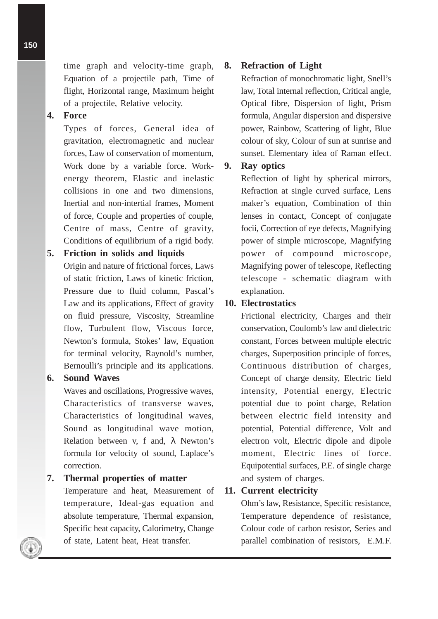time graph and velocity-time graph, Equation of a projectile path, Time of flight, Horizontal range, Maximum height of a projectile, Relative velocity.

#### **4. Force**

Types of forces, General idea of gravitation, electromagnetic and nuclear forces, Law of conservation of momentum, Work done by a variable force. Workenergy theorem, Elastic and inelastic collisions in one and two dimensions, Inertial and non-intertial frames, Moment of force, Couple and properties of couple, Centre of mass, Centre of gravity, Conditions of equilibrium of a rigid body.

## **5. Friction in solids and liquids**

Origin and nature of frictional forces, Laws of static friction, Laws of kinetic friction, Pressure due to fluid column, Pascal's Law and its applications, Effect of gravity on fluid pressure, Viscosity, Streamline flow, Turbulent flow, Viscous force, Newton's formula, Stokes' law, Equation for terminal velocity, Raynold's number, Bernoulli's principle and its applications.

#### **6. Sound Waves**

Waves and oscillations, Progressive waves, Characteristics of transverse waves, Characteristics of longitudinal waves, Sound as longitudinal wave motion, Relation between v, f and,  $\lambda$  Newton's formula for velocity of sound, Laplace's correction.

**7. Thermal properties of matter**

Temperature and heat, Measurement of temperature, Ideal-gas equation and absolute temperature, Thermal expansion, Specific heat capacity, Calorimetry, Change of state, Latent heat, Heat transfer.

#### **8. Refraction of Light**

Refraction of monochromatic light, Snell's law, Total internal reflection, Critical angle, Optical fibre, Dispersion of light, Prism formula, Angular dispersion and dispersive power, Rainbow, Scattering of light, Blue colour of sky, Colour of sun at sunrise and sunset. Elementary idea of Raman effect.

## **9. Ray optics**

Reflection of light by spherical mirrors, Refraction at single curved surface, Lens maker's equation, Combination of thin lenses in contact, Concept of conjugate focii, Correction of eye defects, Magnifying power of simple microscope, Magnifying power of compound microscope, Magnifying power of telescope, Reflecting telescope - schematic diagram with explanation.

#### **10. Electrostatics**

Frictional electricity, Charges and their conservation, Coulomb's law and dielectric constant, Forces between multiple electric charges, Superposition principle of forces, Continuous distribution of charges, Concept of charge density, Electric field intensity, Potential energy, Electric potential due to point charge, Relation between electric field intensity and potential, Potential difference, Volt and electron volt, Electric dipole and dipole moment, Electric lines of force. Equipotential surfaces, P.E. of single charge and system of charges.

#### **11. Current electricity**

Ohm's law, Resistance, Specific resistance, Temperature dependence of resistance, Colour code of carbon resistor, Series and parallel combination of resistors, E.M.F.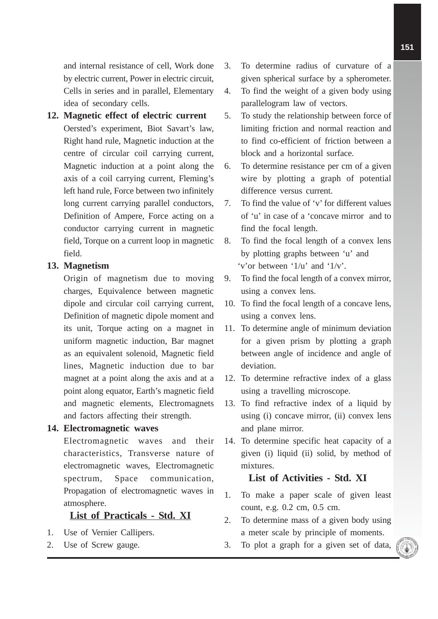and internal resistance of cell, Work done by electric current, Power in electric circuit, Cells in series and in parallel, Elementary idea of secondary cells.

#### **12. Magnetic effect of electric current**

Oersted's experiment, Biot Savart's law, Right hand rule, Magnetic induction at the centre of circular coil carrying current, Magnetic induction at a point along the axis of a coil carrying current, Fleming's left hand rule, Force between two infinitely long current carrying parallel conductors, Definition of Ampere, Force acting on a conductor carrying current in magnetic field, Torque on a current loop in magnetic field.

#### **13. Magnetism**

Origin of magnetism due to moving charges, Equivalence between magnetic dipole and circular coil carrying current, Definition of magnetic dipole moment and its unit, Torque acting on a magnet in uniform magnetic induction, Bar magnet as an equivalent solenoid, Magnetic field lines, Magnetic induction due to bar magnet at a point along the axis and at a point along equator, Earth's magnetic field and magnetic elements, Electromagnets and factors affecting their strength.

#### **14. Electromagnetic waves**

Electromagnetic waves and their characteristics, Transverse nature of electromagnetic waves, Electromagnetic spectrum, Space communication, Propagation of electromagnetic waves in atmosphere.

#### **List of Practicals - Std. XI**

- 1. Use of Vernier Callipers.
- 2. Use of Screw gauge.
- 3. To determine radius of curvature of a given spherical surface by a spherometer.
- 4. To find the weight of a given body using parallelogram law of vectors.
- 5. To study the relationship between force of limiting friction and normal reaction and to find co-efficient of friction between a block and a horizontal surface.
- 6. To determine resistance per cm of a given wire by plotting a graph of potential difference versus current.
- 7. To find the value of 'v' for different values of 'u' in case of a 'concave mirror and to find the focal length.
- 8. To find the focal length of a convex lens by plotting graphs between 'u' and 'v'or between '1/u' and '1/v'.
- 9. To find the focal length of a convex mirror, using a convex lens.
- 10. To find the focal length of a concave lens, using a convex lens.
- 11. To determine angle of minimum deviation for a given prism by plotting a graph between angle of incidence and angle of deviation.
- 12. To determine refractive index of a glass using a travelling microscope.
- 13. To find refractive index of a liquid by using (i) concave mirror, (ii) convex lens and plane mirror.
- 14. To determine specific heat capacity of a given (i) liquid (ii) solid, by method of mixtures.

#### **List of Activities - Std. XI**

- 1. To make a paper scale of given least count, e.g. 0.2 cm, 0.5 cm.
- 2. To determine mass of a given body using a meter scale by principle of moments.
- 3. To plot a graph for a given set of data,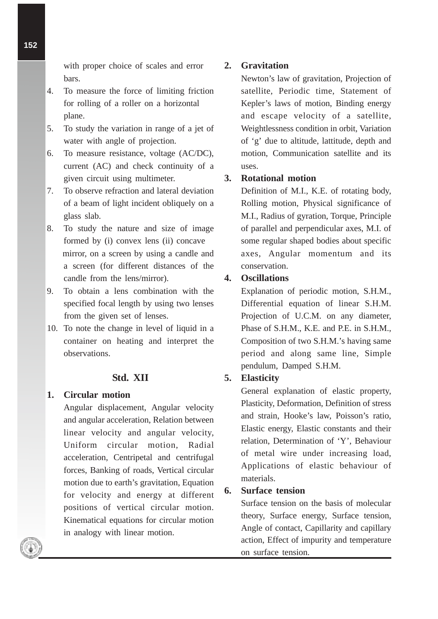with proper choice of scales and error bars.

- 4. To measure the force of limiting friction for rolling of a roller on a horizontal plane.
- 5. To study the variation in range of a jet of water with angle of projection.
- 6. To measure resistance, voltage (AC/DC), current (AC) and check continuity of a given circuit using multimeter.
- 7. To observe refraction and lateral deviation of a beam of light incident obliquely on a glass slab.
- 8. To study the nature and size of image formed by (i) convex lens (ii) concave mirror, on a screen by using a candle and a screen (for different distances of the candle from the lens/mirror).
- 9. To obtain a lens combination with the specified focal length by using two lenses from the given set of lenses.
- 10. To note the change in level of liquid in a container on heating and interpret the observations.

## **Std. XII**

#### **1. Circular motion**

Angular displacement, Angular velocity and angular acceleration, Relation between linear velocity and angular velocity, Uniform circular motion, Radial acceleration, Centripetal and centrifugal forces, Banking of roads, Vertical circular motion due to earth's gravitation, Equation for velocity and energy at different positions of vertical circular motion. Kinematical equations for circular motion in analogy with linear motion.

## **2. Gravitation**

Newton's law of gravitation, Projection of satellite, Periodic time, Statement of Kepler's laws of motion, Binding energy and escape velocity of a satellite, Weightlessness condition in orbit, Variation of 'g' due to altitude, lattitude, depth and motion, Communication satellite and its uses.

## **3. Rotational motion**

Definition of M.I., K.E. of rotating body, Rolling motion, Physical significance of M.I., Radius of gyration, Torque, Principle of parallel and perpendicular axes, M.I. of some regular shaped bodies about specific axes, Angular momentum and its conservation.

## **4. Oscillations**

Explanation of periodic motion, S.H.M., Differential equation of linear S.H.M. Projection of U.C.M. on any diameter, Phase of S.H.M., K.E. and P.E. in S.H.M., Composition of two S.H.M.'s having same period and along same line, Simple pendulum, Damped S.H.M.

## **5. Elasticity**

General explanation of elastic property, Plasticity, Deformation, Definition of stress and strain, Hooke's law, Poisson's ratio, Elastic energy, Elastic constants and their relation, Determination of 'Y', Behaviour of metal wire under increasing load, Applications of elastic behaviour of materials.

## **6. Surface tension**

Surface tension on the basis of molecular theory, Surface energy, Surface tension, Angle of contact, Capillarity and capillary action, Effect of impurity and temperature on surface tension.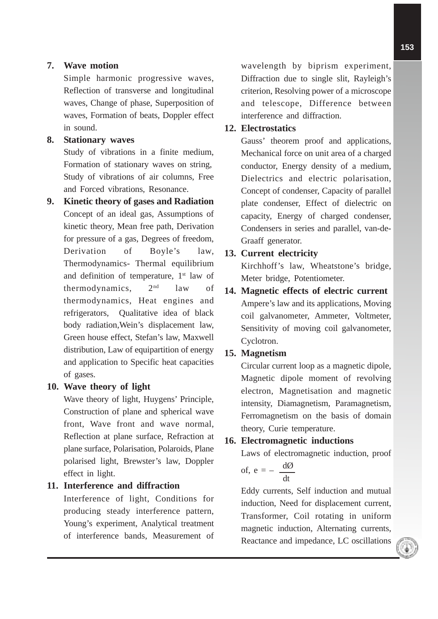## **7. Wave motion**

Simple harmonic progressive waves, Reflection of transverse and longitudinal waves, Change of phase, Superposition of waves, Formation of beats, Doppler effect in sound.

## **8. Stationary waves**

Study of vibrations in a finite medium, Formation of stationary waves on string, Study of vibrations of air columns, Free and Forced vibrations, Resonance.

**9. Kinetic theory of gases and Radiation** Concept of an ideal gas, Assumptions of kinetic theory, Mean free path, Derivation for pressure of a gas, Degrees of freedom, Derivation of Boyle's law, Thermodynamics- Thermal equilibrium and definition of temperature,  $1<sup>st</sup>$  law of thermodynamics,  $2<sup>nd</sup>$  law of thermodynamics, Heat engines and refrigerators, Qualitative idea of black body radiation,Wein's displacement law, Green house effect, Stefan's law, Maxwell distribution, Law of equipartition of energy and application to Specific heat capacities of gases.

#### **10. Wave theory of light**

Wave theory of light, Huygens' Principle, Construction of plane and spherical wave front, Wave front and wave normal, Reflection at plane surface, Refraction at plane surface, Polarisation, Polaroids, Plane polarised light, Brewster's law, Doppler effect in light.

## **11. Interference and diffraction**

Interference of light, Conditions for producing steady interference pattern, Young's experiment, Analytical treatment of interference bands, Measurement of wavelength by biprism experiment, Diffraction due to single slit, Rayleigh's criterion, Resolving power of a microscope and telescope, Difference between interference and diffraction.

## **12. Electrostatics**

Gauss' theorem proof and applications, Mechanical force on unit area of a charged conductor, Energy density of a medium, Dielectrics and electric polarisation, Concept of condenser, Capacity of parallel plate condenser, Effect of dielectric on capacity, Energy of charged condenser, Condensers in series and parallel, van-de-Graaff generator.

## **13. Current electricity**

Kirchhoff's law, Wheatstone's bridge, Meter bridge, Potentiometer.

## **14. Magnetic effects of electric current** Ampere's law and its applications, Moving coil galvanometer, Ammeter, Voltmeter, Sensitivity of moving coil galvanometer, Cyclotron.

## **15. Magnetism**

Circular current loop as a magnetic dipole, Magnetic dipole moment of revolving electron, Magnetisation and magnetic intensity, Diamagnetism, Paramagnetism, Ferromagnetism on the basis of domain theory, Curie temperature.

## **16. Electromagnetic inductions**

Laws of electromagnetic induction, proof of,  $e = \frac{d\emptyset}{ }$ 

$$
e = -\frac{1}{dt}
$$

Eddy currents, Self induction and mutual induction, Need for displacement current, Transformer, Coil rotating in uniform magnetic induction, Alternating currents, Reactance and impedance, LC oscillations

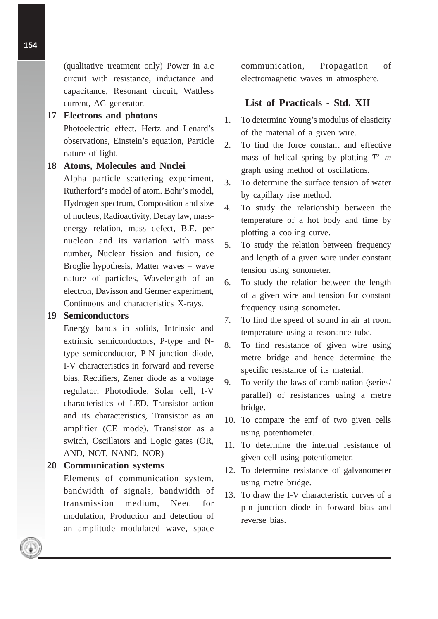(qualitative treatment only) Power in a.c circuit with resistance, inductance and capacitance, Resonant circuit, Wattless current, AC generator.

#### **17 Electrons and photons**

Photoelectric effect, Hertz and Lenard's observations, Einstein's equation, Particle nature of light.

#### **18 Atoms, Molecules and Nuclei**

Alpha particle scattering experiment, Rutherford's model of atom. Bohr's model, Hydrogen spectrum, Composition and size of nucleus, Radioactivity, Decay law, massenergy relation, mass defect, B.E. per nucleon and its variation with mass number, Nuclear fission and fusion, de Broglie hypothesis, Matter waves – wave nature of particles, Wavelength of an electron, Davisson and Germer experiment, Continuous and characteristics X-rays.

#### **19 Semiconductors**

Energy bands in solids, Intrinsic and extrinsic semiconductors, P-type and Ntype semiconductor, P-N junction diode, I-V characteristics in forward and reverse bias, Rectifiers, Zener diode as a voltage regulator, Photodiode, Solar cell, I-V characteristics of LED, Transistor action and its characteristics, Transistor as an amplifier (CE mode), Transistor as a switch, Oscillators and Logic gates (OR, AND, NOT, NAND, NOR)

#### **20 Communication systems**

Elements of communication system, bandwidth of signals, bandwidth of transmission medium, Need for modulation, Production and detection of an amplitude modulated wave, space

communication, Propagation of electromagnetic waves in atmosphere.

#### **List of Practicals - Std. XII**

- 1. To determine Young's modulus of elasticity of the material of a given wire.
- 2. To find the force constant and effective mass of helical spring by plotting *T2 --m* graph using method of oscillations.
- 3. To determine the surface tension of water by capillary rise method.
- 4. To study the relationship between the temperature of a hot body and time by plotting a cooling curve.
- 5. To study the relation between frequency and length of a given wire under constant tension using sonometer.
- 6. To study the relation between the length of a given wire and tension for constant frequency using sonometer.
- 7. To find the speed of sound in air at room temperature using a resonance tube.
- 8. To find resistance of given wire using metre bridge and hence determine the specific resistance of its material.
- 9. To verify the laws of combination (series/ parallel) of resistances using a metre bridge.
- 10. To compare the emf of two given cells using potentiometer.
- 11. To determine the internal resistance of given cell using potentiometer.
- 12. To determine resistance of galvanometer using metre bridge.
- 13. To draw the I-V characteristic curves of a p-n junction diode in forward bias and reverse bias.

**154**